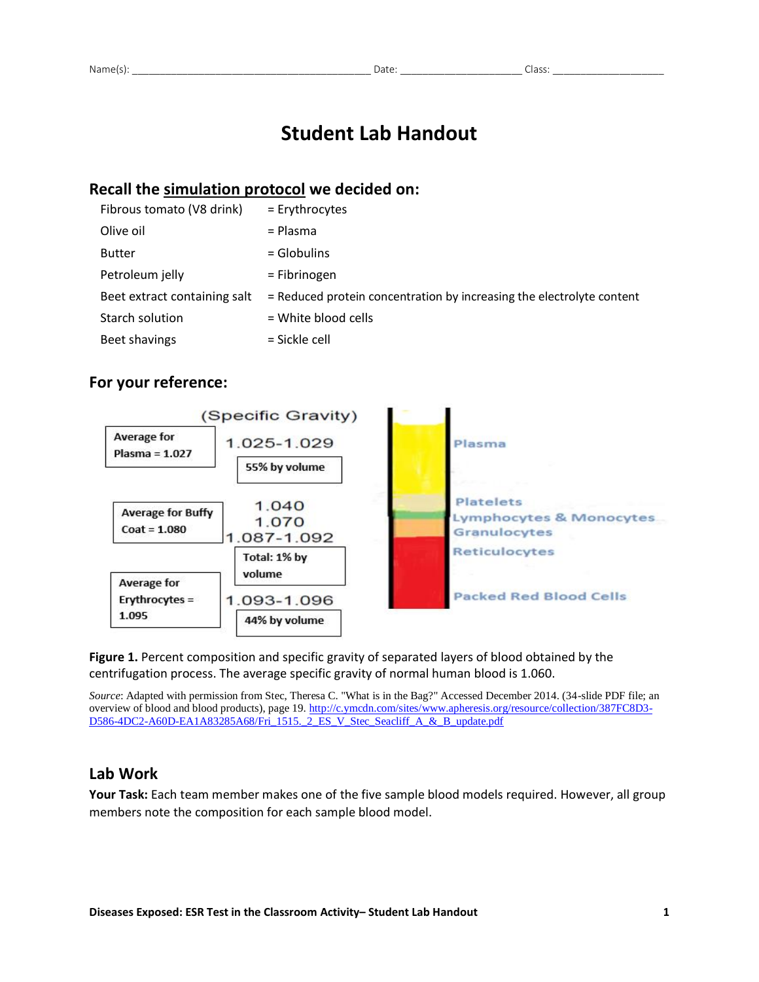# **Student Lab Handout**

## **Recall the simulation protocol we decided on:**

| Fibrous tomato (V8 drink)    | = Erythrocytes                                                        |
|------------------------------|-----------------------------------------------------------------------|
| Olive oil                    | = Plasma                                                              |
| <b>Butter</b>                | $=$ Globulins                                                         |
| Petroleum jelly              | = Fibrinogen                                                          |
| Beet extract containing salt | = Reduced protein concentration by increasing the electrolyte content |
| Starch solution              | = White blood cells                                                   |
| Beet shavings                | = Sickle cell                                                         |
|                              |                                                                       |

## **For your reference:**



**Figure 1.** Percent composition and specific gravity of separated layers of blood obtained by the centrifugation process. The average specific gravity of normal human blood is 1.060.

*Source*: Adapted with permission from Stec, Theresa C. "What is in the Bag?" Accessed December 2014. (34-slide PDF file; an overview of blood and blood products), page 19[. http://c.ymcdn.com/sites/www.apheresis.org/resource/collection/387FC8D3-](http://c.ymcdn.com/sites/www.apheresis.org/resource/collection/387FC8D3-D586-4DC2-A60D-EA1A83285A68/Fri_1515._2_ES_V_Stec_Seacliff_A_&_B_update.pdf) D586-4DC2-A60D-EA1A83285A68/Fri 1515. 2 ES\_V\_Stec\_Seacliff\_A\_&\_B\_update.pdf

## **Lab Work**

**Your Task:** Each team member makes one of the five sample blood models required. However, all group members note the composition for each sample blood model.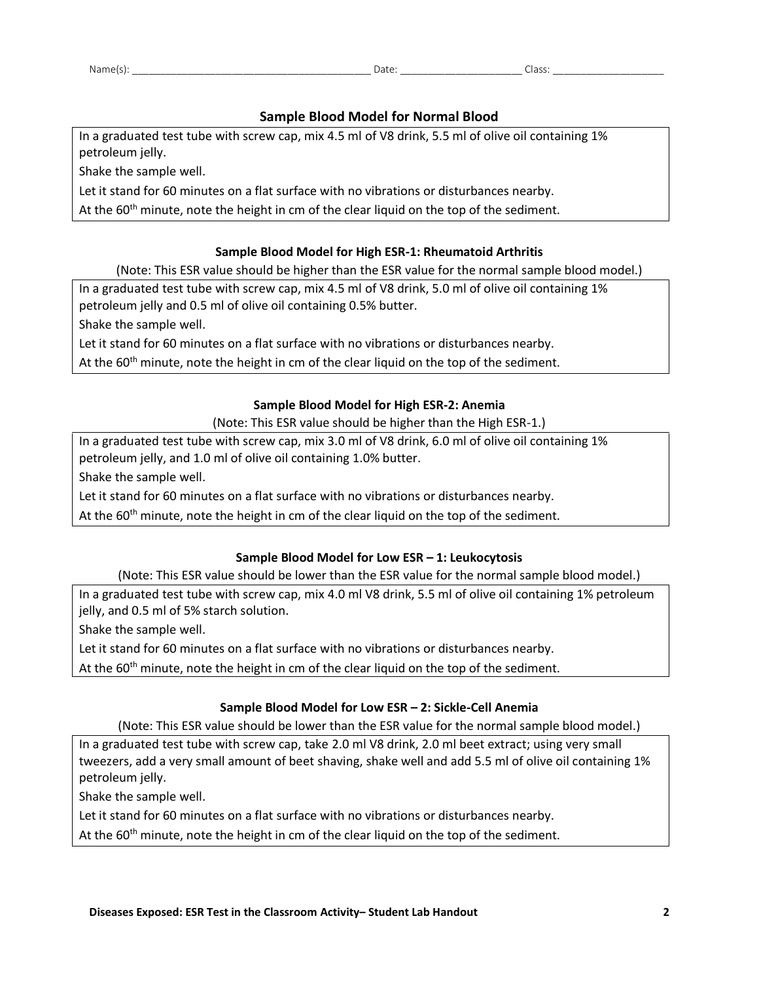#### **Sample Blood Model for Normal Blood**

In a graduated test tube with screw cap, mix 4.5 ml of V8 drink, 5.5 ml of olive oil containing 1% petroleum jelly.

Shake the sample well.

Let it stand for 60 minutes on a flat surface with no vibrations or disturbances nearby.

At the 60<sup>th</sup> minute, note the height in cm of the clear liquid on the top of the sediment.

#### **Sample Blood Model for High ESR-1: Rheumatoid Arthritis**

(Note: This ESR value should be higher than the ESR value for the normal sample blood model.)

In a graduated test tube with screw cap, mix 4.5 ml of V8 drink, 5.0 ml of olive oil containing 1% petroleum jelly and 0.5 ml of olive oil containing 0.5% butter.

Shake the sample well.

Let it stand for 60 minutes on a flat surface with no vibrations or disturbances nearby.

At the  $60<sup>th</sup>$  minute, note the height in cm of the clear liquid on the top of the sediment.

#### **Sample Blood Model for High ESR-2: Anemia**

(Note: This ESR value should be higher than the High ESR-1.)

In a graduated test tube with screw cap, mix 3.0 ml of V8 drink, 6.0 ml of olive oil containing 1% petroleum jelly, and 1.0 ml of olive oil containing 1.0% butter.

Shake the sample well.

Let it stand for 60 minutes on a flat surface with no vibrations or disturbances nearby.

At the  $60<sup>th</sup>$  minute, note the height in cm of the clear liquid on the top of the sediment.

#### **Sample Blood Model for Low ESR – 1: Leukocytosis**

(Note: This ESR value should be lower than the ESR value for the normal sample blood model.)

In a graduated test tube with screw cap, mix 4.0 ml V8 drink, 5.5 ml of olive oil containing 1% petroleum jelly, and 0.5 ml of 5% starch solution.

Shake the sample well.

Let it stand for 60 minutes on a flat surface with no vibrations or disturbances nearby.

At the  $60<sup>th</sup>$  minute, note the height in cm of the clear liquid on the top of the sediment.

#### **Sample Blood Model for Low ESR – 2: Sickle-Cell Anemia**

(Note: This ESR value should be lower than the ESR value for the normal sample blood model.)

In a graduated test tube with screw cap, take 2.0 ml V8 drink, 2.0 ml beet extract; using very small tweezers, add a very small amount of beet shaving, shake well and add 5.5 ml of olive oil containing 1% petroleum jelly.

Shake the sample well.

Let it stand for 60 minutes on a flat surface with no vibrations or disturbances nearby.

At the  $60<sup>th</sup>$  minute, note the height in cm of the clear liquid on the top of the sediment.